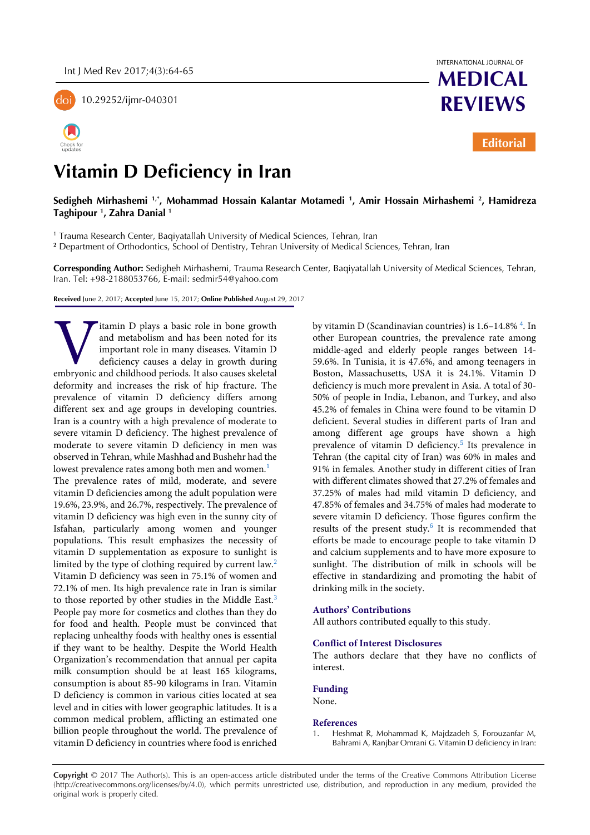

10.29252/ijmr-040301





**MEDICAL REVIEWS**

**Editorial**

# **Vitamin D Deficiency in Iran**

## **Sedigheh Mirhashemi 1,\*, Mohammad Hossain Kalantar Motamedi <sup>1</sup> , Amir Hossain Mirhashemi <sup>2</sup> , Hamidreza Taghipour <sup>1</sup> , Zahra Danial <sup>1</sup>**

1 Trauma Research Center, Baqiyatallah University of Medical Sciences, Tehran, Iran

**<sup>2</sup>** Department of Orthodontics, School of Dentistry, Tehran University of Medical Sciences, Tehran, Iran

**Corresponding Author:** Sedigheh Mirhashemi, Trauma Research Center, Baqiyatallah University of Medical Sciences, Tehran, Iran. Tel: +98-2188053766, E-mail: sedmir54@yahoo.com

**Received** June 2, 2017; **Accepted** June 15, 2017; **Online Published** August 29, 2017

itamin D plays a basic role in bone growth and metabolism and has been noted for its important role in many diseases. Vitamin D deficiency causes a delay in growth during Itamin D plays a basic role in bone growth<br>and metabolism and has been noted for its<br>important role in many diseases. Vitamin D<br>deficiency causes a delay in growth during<br>embryonic and childhood periods. It also causes ske deformity and increases the risk of hip fracture. The prevalence of vitamin D deficiency differs among different sex and age groups in developing countries. Iran is a country with a high prevalence of moderate to severe vitamin D deficiency. The highest prevalence of moderate to severe vitamin D deficiency in men was observed in Tehran, while Mashhad and Bushehr had the lowest prevalence rates among both men and women.<sup>[1](#page-0-0)</sup> The prevalence rates of mild, moderate, and severe vitamin D deficiencies among the adult population were 19.6%, 23.9%, and 26.7%, respectively. The prevalence of vitamin D deficiency was high even in the sunny city of Isfahan, particularly among women and younger populations. This result emphasizes the necessity of vitamin D supplementation as exposure to sunlight is limited by the type of clothing required by current law[.](#page-1-0)<sup>2</sup> Vitamin D deficiency was seen in 75.1% of women and 72.1% of men. Its high prevalence rate in Iran is similar to those reported by other studies in the Middle East.<sup>[3](#page-1-1)</sup> People pay more for cosmetics and clothes than they do for food and health. People must be convinced that replacing unhealthy foods with healthy ones is essential if they want to be healthy. Despite the World Health Organization's recommendation that annual per capita milk consumption should be at least 165 kilograms, consumption is about 85-90 kilograms in Iran. Vitamin D deficiency is common in various cities located at sea level and in cities with lower geographic latitudes. It is a common medical problem, afflicting an estimated one billion people throughout the world. The prevalence of vitamin D deficiency in countries where food is enriched

by vitamin D (Scandinavian countries) is 1.6–14.8%<sup>4</sup>. In other European countries, the prevalence rate among middle-aged and elderly people ranges between 14- 59.6%. In Tunisia, it is 47.6%, and among teenagers in Boston, Massachusetts, USA it is 24.1%. Vitamin D deficiency is much more prevalent in Asia. A total of 30- 50% of people in India, Lebanon, and Turkey, and also 45.2% of females in China were found to be vitamin D deficient. Several studies in different parts of Iran and among different age groups have shown a high prevalenceof vitamin D deficiency.<sup>5</sup> Its prevalence in Tehran (the capital city of Iran) was 60% in males and 91% in females. Another study in different cities of Iran with different climates showed that 27.2% of females and 37.25% of males had mild vitamin D deficiency, and 47.85% of females and 34.75% of males had moderate to severe vitamin D deficiency. Those figures confirm the results of the present study.<sup>[6](#page-1-4)</sup> It is recommended that efforts be made to encourage people to take vitamin D and calcium supplements and to have more exposure to sunlight. The distribution of milk in schools will be effective in standardizing and promoting the habit of drinking milk in the society.

#### **Authors' Contributions**

All authors contributed equally to this study.

### **Conflict of Interest Disclosures**

The authors declare that they have no conflicts of interest.

#### **Funding**

None.

#### **References**

<span id="page-0-0"></span>Heshmat R, Mohammad K, Majdzadeh S, Forouzanfar M, Bahrami A, Ranjbar Omrani G. Vitamin D deficiency in Iran:

**Copyright** © 2017 The Author(s). This is an open-access article distributed under the terms of the Creative Commons Attribution License (http://creativecommons.org/licenses/by/4.0), which permits unrestricted use, distribution, and reproduction in any medium, provided the original work is properly cited.